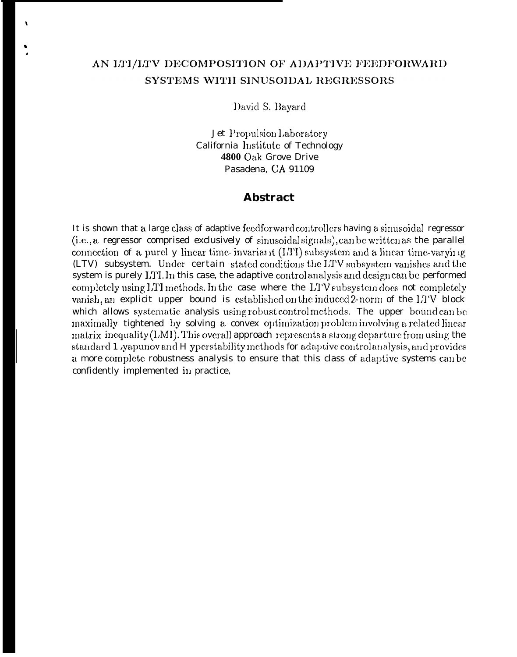# AN ITI/ITV DECOMPOSITION OF ADAPTIVE FEEDFORWARD SYSTEMS WITH SINUSOIDAL REGRESSORS

 $\lambda$ 

David S. Bayard

Jet Propulsion Laboratory California Institute of Technology 4800 Oak Grove Drive Pasadena. CA 91109

## **Abstract**

It is shown that a large class of adaptive feedforward controllers having a sinusoidal regressor (i.e., a regressor comprised exclusively of sinusoidal signals), can be written as the parallel connection of a purel y linear time-invariant (LTI) subsystem and a linear time-varying (LTV) subsystem. Under certain stated conditions the LTV subsystem vanishes and the system is purely LTI. In this case, the adaptive control analysis and design can be performed completely using LTI methods. In the case where the LTV subsystem does not completely vanish, an explicit upper bound is established on the induced 2-norm of the LTV block which allows systematic analysis using robust control methods. The upper bound can be maximally tightened by solving a convex optimization problem involving a related linear matrix inequality (LMI). This overall approach represents a strong departure from using the standard 1 yapunov and H yperstability methods for adaptive control analysis, and provides a more complete robustness analysis to ensure that this class of adaptive systems can be confidently implemented in practice,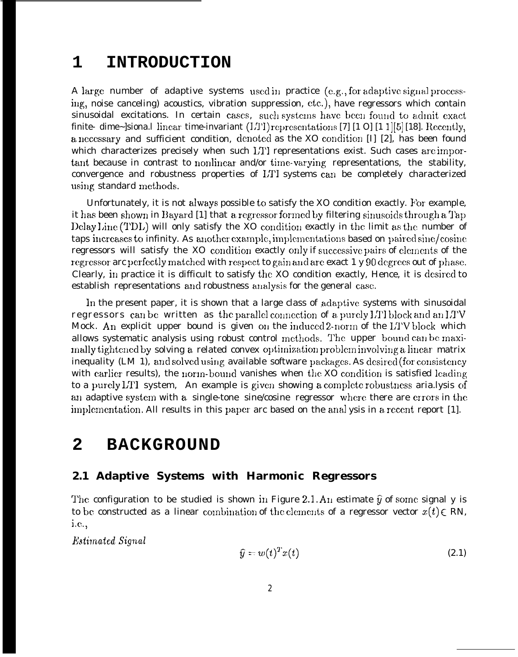### $\mathbf 1$ **INTRODUCTION**

A large number of adaptive systems used in practice (e.g., for adaptive signal processing, noise canceling) acoustics, vibration suppression, etc.), have regressors which contain sinusoidal excitations. In certain cases, such systems have been found to admit exact finite- dime~]siona.l linear time-invariant (LTI) representations [7] [1 0] [1 1][5] [18]. Recently, a necessary and sufficient condition, denoted as the XO condition [I] [2], has been found which characterizes precisely when such LTI representations exist. Such cases are important because in contrast to nonlinear and/or time-varying representations, the stability, convergence and robustness properties of LTI systems can be completely characterized using standard methods.

Unfortunately, it is not always possible to satisfy the XO condition exactly. For example, it has been shown in Bayard [1] that a regressor formed by filtering sinusoids through a Tap Delay Line (TDL) will only satisfy the XO condition exactly in the limit as the number of taps increases to infinity. As another example, implementations based on paired sine/cosine regressors will satisfy the XO condition exactly only if successive pairs of elements of the regressor arc perfectly matched with respect to gain and are exact 1 y 90 degrees out of phase. Clearly, in practice it is difficult to satisfy the XO condition exactly, Hence, it is desired to establish representations and robustness analysis for the general case.

In the present paper, it is shown that a large class of adaptive systems with sinusoidal regressors can be written as the parallel connection of a purely LTI block and an LTV Mock. An explicit upper bound is given on the induced 2-norm of the LTV block which allows systematic analysis using robust control methods. The upper bound can be maximally tightened by solving a related convex optimization problem involving a linear matrix inequality (LM 1), and solved using available software packages. As desired (for consistency with earlier results), the norm-bound vanishes when the XO condition is satisfied leading to a purely LTI system. An example is given showing a complete robustness aria.lysis of an adaptive system with a single-tone sine/cosine regressor where there are errors in the implementation. All results in this paper arc based on the analysis in a recent report [1].

### $\mathbf{2}$ **BACKGROUND**

## 2.1 Adaptive Systems with Harmonic Regressors

The configuration to be studied is shown in Figure 2.1. An estimate  $\hat{y}$  of some signal y is to be constructed as a linear combination of the elements of a regressor vector  $x(t) \in RN$ , *i.e.*,

*Estimated Signal* 

$$
\widehat{y} = w(t)^T x(t) \tag{2.1}
$$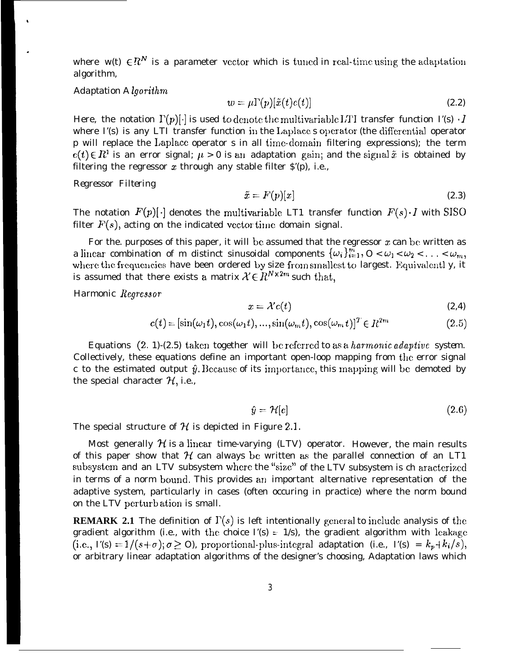where w(t)  $\in \mathbb{R}^N$  is a parameter vector which is tuncd in real-time using the adaptation algorithm,

### *Adaptation A lgoriihm*

.

$$
w = \mu \Gamma(p)[\tilde{x}(t)e(t)] \tag{2.2}
$$

Here, the notation  $\Gamma(p)[\cdot]$  is used to denote the multivariable LTI transfer function  $\Gamma(s) \cdot I$ where  $\Gamma(s)$  is any LTI transfer function in the Laplace s operator (the differential operator p will replace the I,aplace operator s in all tirnc-domain filtering expressions); the term  $c(t) \in R<sup>1</sup>$  is an error signal;  $\mu > 0$  is an adaptation gain; and the signal  $\tilde{x}$  is obtained by filtering the regressor  $x$  through any stable filter  $\hat{S}(p)$ , i.e.,

*Regressor Filtering*

$$
\tilde{x} = F(p)[x] \tag{2.3}
$$

The notation  $F(p)[.]$  denotes the multivariable LT1 transfer function  $F(s) \cdot I$  with SISO filter  $F(s)$ , acting on the indicated vector time domain signal.

For the. purposes of this paper, it will be assumed that the regressor  $x$  can be written as a linear combination of m distinct sinusoidal components  $\{\omega_i\}_{i=1}^{\overline{m}}, 0 < \omega_1 < \omega_2 < \ldots < \omega_m,$ where the frequencies have been ordered by size from smallest to largest. Equivalentl y, it is assumed that there exists a matrix  $\mathcal{X} \in \mathbb{R}^{N \times 2m}$  such that,

*Harmonic Regre990r*

$$
x = \mathcal{X}c(t) \tag{2.4}
$$

$$
c(t) = \left[\sin(\omega_1 t), \cos(\omega_1 t), \dots, \sin(\omega_m t), \cos(\omega_m t)\right]^T \in R^{2m} \tag{2.5}
$$

Equations (2, 1)-(2.5) taken together will be referred to as a *harmonic adaptive system*. Collectively, these equations define an important open-loop mapping from the error signal c to the estimated output  $\hat{y}$ . Because of its importance, this mapping will be demoted by the special character  $H$ , i.e.,

$$
\hat{y} = \mathcal{H}[c] \tag{2.6}
$$

The special structure of  $H$  is depicted in Figure 2.1.

Most generally  $\mathcal H$  is a linear time-varying (LTV) operator. However, the main results of this paper show that  $H$  can always be written as the parallel connection of an LT1 subsystem and an LTV subsystem where the "size" of the LTV subsystem is ch aracterized in terms of a norm bound. This provides an important alternative representation of the adaptive system, particularly in cases (often occuring in practice) where the norm bound on the LTV perturb ation is small.

**REMARK 2.1** The definition of  $\Gamma(s)$  is left intentionally general to include analysis of the gradient algorithm (i.e., with the choice  $\Gamma(s) = 1/s$ ), the gradient algorithm with leakage (i.e.,  $\Gamma(s) = 1/(s+\sigma); \sigma \ge 0$ ), proportional-plus-integral adaptation (i.e.,  $\Gamma(s) = k_p + k_i/s$ ), or arbitrary linear adaptation algorithms of the designer's choosing, Adaptation laws which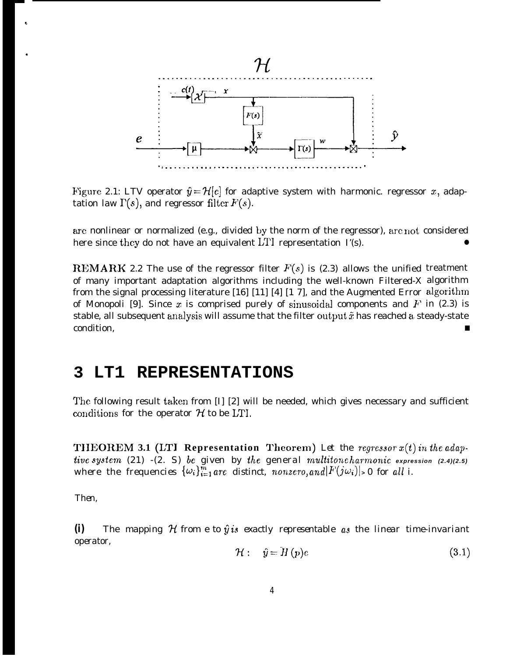

Figure 2.1: LTV operator  $\hat{y} = \mathcal{H}[c]$  for adaptive system with harmonic. regressor x, adaptation law  $\Gamma(s)$ , and regressor filter  $F(s)$ .

are nonlinear or normalized (e.g., divided by the norm of the regressor), are not considered here since they do not have an equivalent LTI representation  $\Gamma(s)$ .

**REMARK** 2.2 The use of the regressor filter  $F(s)$  is (2.3) allows the unified treatment of many important adaptation algorithms including the well-known Filtered-X algorithm from the signal processing literature [16] [11] [4] [1 7], and the Augmented Error algorithm of Monopoli [9]. Since x is comprised purely of sinusoidal components and  $F$  in (2.3) is stable, all subsequent analysis will assume that the filter output  $\tilde{x}$  has reached a steady-state condition,

#### LT1 **REPRESENTATIONS** 3

The following result taken from [I] [2] will be needed, which gives necessary and sufficient conditions for the operator  $H$  to be LTI.

**THEOREM 3.1 (LTI Representation Theorem)** Let the regressor  $x(t)$  in the adaptive system (21) -(2. S) be given by the general multitoncharmonic expression (2.4)(2.5)<br>where the frequencies  $\{\omega_i\}_{i=1}^m$  are distinct, nonzero, and  $|F(j\omega_i)| > 0$  for all i.

Then.

The mapping  $H$  from e to  $\hat{y}$  is exactly representable as the linear time-invariant  $(i)$ operator,

$$
\mathcal{H}: \quad \hat{y} = \bar{H}(p)e \tag{3.1}
$$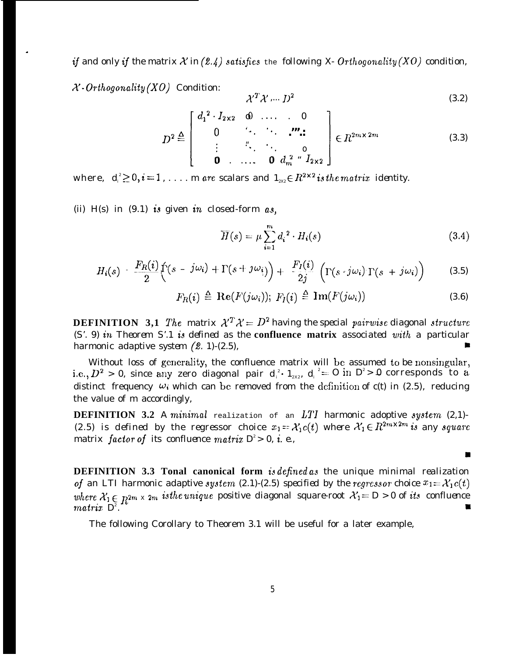**if** and only if the matrix  $X$  in (2.4) satisfies the following X-Orthogonality (XO) condition,

*X- Orthogonality (XO) Condition:*

.

trix 
$$
\mathcal{X}
$$
 in (2.4) satisfies the following X- Orthogonality(XO) condition.  
\n
$$
\mathcal{X}^T \mathcal{X} \dots D^2
$$
\n(3.2)  
\n
$$
D^2 \triangleq \begin{bmatrix}\n d_1^2 \cdot I_{2 \times 2} & 0 & \dots & 0 \\
0 & \ddots & \ddots & \vdots \\
\vdots & \ddots & \ddots & 0 \\
0 & \dots & 0 & d_m^2 \end{bmatrix} \in R^{2m \times 2m}
$$
\n(3.3)  
\n
$$
\dots m \text{ are scalars and } I_{2x} \in R^{2 \times 2} \text{ is the matrix identity.}
$$

*where,*  $d_i^2 \geq 0, i = 1, \ldots$  *m* are scalars and  $1_{2x} \in R^{2 \times 2}$  is the matrix identity.

(ii) H(s) in *(9.1) is* given in *closed-form as,*

$$
\overline{H}(s) = \mu \sum_{i=1}^{m} d_i^2 \cdot H_i(s)
$$
\n(3.4)

*m*

 $\chi^T \chi' \dots l^2$  (3.2)

$$
H_i(s) = \frac{F_R(i)}{2} \Big[ \zeta(s - j\omega_i) + \Gamma(s + j\omega_i) \Big) + \frac{F_I(i)}{2j} \left( \Gamma(s \cdot j\omega_i) \Gamma(s + j\omega_i) \right) \qquad (3.5)
$$

$$
F_R(i) \triangleq \operatorname{Re}(F(j\omega_i)); \ F_I(i) \triangleq \operatorname{Im}(F(j\omega_i)) \tag{3.6}
$$

**DEFINITION** 3.1 The matrix  $\mathcal{X}^T \mathcal{X} = D^2$  having the special pairwise diagonal structure *(S'. 9) in Theorem S'.1 is defined as the* **confluence matrix** *associated with a particular harmonic adaptive system*  $(2. 1)-(2.5)$ ,

Without loss of generality, the confluence matrix will be assumed to be nonsingular, i.e.,  $D^2$  > 0, since any zero diagonal pair  $d_i^{\,\scriptscriptstyle{z}}\cdot\,{\it1}_{\scriptscriptstyle{2X2}},\,\,d_i^{\scriptscriptstyle{z}} = O\,\text{in}\,\,D^{\scriptscriptstyle{z}} > 0$  corresponds to a distinct frequency  $\omega_i$  which can be removed from the definition of  $c(t)$  in (2.5), reducing the value of m accordingly,

**DEFINITION 3.2** A minimal realization of an *LTI harmonic adoptive* system (2,1)-(2.5) is defined by the regressor choice  $x_1 = \mathcal{X}_1 c(t)$  where  $\mathcal{X}_1 \in \mathbb{R}^{2m \times 2m}$  is any square *matrix factor of its confluence matrix*  $D^2 > 0$ *, <i>i. e.*,

**DEFINITION 3.3 Tonal canonical form is** *defined a.~ the unique minimal realization of an LTI harmonic adaptive system* (2.1)-(2.5) *specified by the regressor choice*  $x_1 = \lambda_1 c(t)$ where  $\mathcal{X}_1 \in \mathbb{R}^{2m} \times 2m$  is the unique positive diagonal square-root  $\mathcal{X}_1 = D > 0$  of its confluence *matriz D<sup>2</sup> . u*

The following Corollary to Theorem 3.1 will be useful for a later example,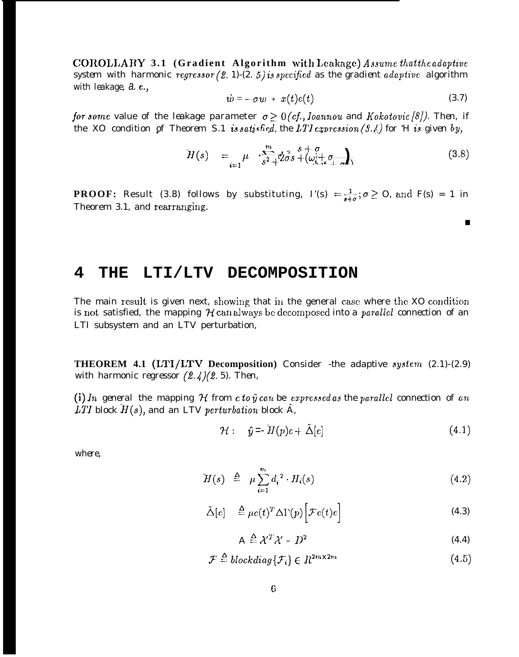COROLLARY 3.1 (Gradient Algorithm with Leakage) Assume that the adaptive system with harmonic regressor  $(2. 1)-(2. 5)$  is specified as the gradient adaptive algorithm with leakage, a.e.,

$$
\dot{w} = -\sigma w + x(t)c(t) \tag{3.7}
$$

 $\blacksquare$ 

for some value of the leakage parameter  $\sigma \geq 0$  (cf., Ioannou and Kokotovic [8]). Then, if the XO condition of Theorem S.1 is satisfied, the LTI expression  $(3.1)$  for 'H is given by,

$$
H(s) = \mu \quad \sum_{i=1}^{m} \phi_{\sigma}^{s} s + \omega + \phi_{\sigma}^{s} s + \phi_{\sigma}^{s} \tag{3.8}
$$

**PROOF:** Result (3.8) follows by substituting,  $\Gamma(s) = \frac{1}{s+\sigma}$ ;  $\sigma \ge 0$ , and  $F(s) = 1$  in Theorem 3.1, and rearranging.

#### 4 LTI/LTV DECOMPOSITION THE

The main result is given next, showing that in the general case where the XO condition is not satisfied, the mapping  $H$  can always be decomposed into a *parallel connection* of an LTI subsystem and an LTV perturbation,

THEOREM 4.1 (LTI/LTV Decomposition) Consider -the adaptive system (2.1)-(2.9) with harmonic regressor  $(2.4)(2.5)$ . Then,

(i) In general the mapping  $H$  from  $c$  to  $\hat{y}$  can be expressed as the parallel connection of an LTI block  $H(s)$ , and an LTV perturbation block  $\tilde{A}$ ,

$$
\mathcal{H}: \quad \hat{y} = \overline{H}(p)c + \tilde{\Delta}[c] \tag{4.1}
$$

where.

$$
\overline{H}(s) \triangleq \mu \sum_{i=1}^{m} d_i^2 \cdot H_i(s) \tag{4.2}
$$

$$
\tilde{\Delta}[e] \quad \stackrel{\Delta}{=} \mu c(t)^T \Delta \Gamma(p) \Big[ \mathcal{F}c(t)c \Big] \tag{4.3}
$$

$$
A \stackrel{\Delta}{=} \mathcal{X}^T \mathcal{X} - D^2 \tag{4.4}
$$

$$
\mathcal{F} \stackrel{\Delta}{=} blockdiag\{\mathcal{F}_i\} \in R^{2m \times 2m} \tag{4.5}
$$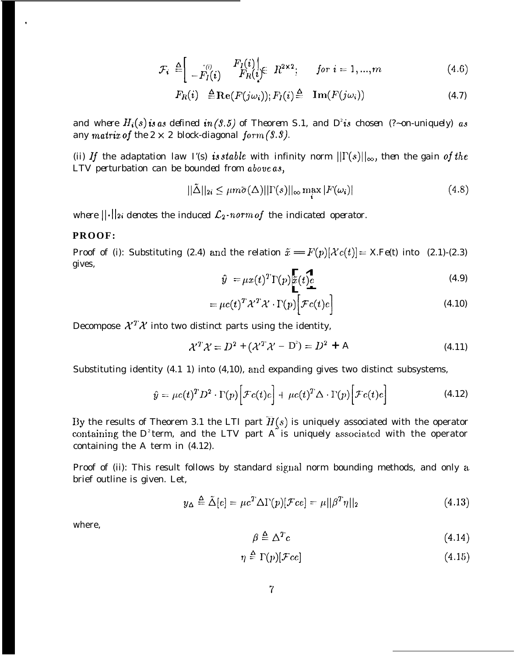$$
\mathcal{F}_i \triangleq \left[ \begin{array}{cc} \binom{m}{i} & F_I(i) \\ -F_I(i) & F_R(i) \end{array} \right] \in R^{2 \times 2}; \quad \text{for } i = 1, ..., m \tag{4.6}
$$

$$
F_R(i) \stackrel{\Delta}{=} \mathbf{Re}(F(j\omega_i)); F_I(i) \stackrel{\Delta}{=} \mathbf{Im}(F(j\omega_i)) \tag{4.7}
$$

and where  $H_i(s)$  is as defined in (9.5) of Theorem S.1, and  $D^2$  *is chosen (?~on-uniquely)* as *any* matrix of the  $2 \times 2$  block-diagonal form  $(3.3)$ .

*(ii)* If the adaptation law  $I'(s)$  is stable with infinity norm  $||\Gamma(s)||_{\infty}$ , then the gain of the *LTV perturbation can be bounded from above as,*

$$
||\tilde{\Delta}||_{2i} \le \mu m \bar{\sigma}(\Delta) ||\Gamma(s)||_{\infty} \max_{i} |F(\omega_{i})|
$$
\n(4.8)

*where*  $||\cdot||_2$  *denotes the induced*  $\mathcal{L}_2$ -norm of the indicated operator.

## **PROOF:**

.

Proof of (i): Substituting (2.4) and the relation  $\tilde{x} = F(p)[\chi(c(t))] = X.Fe(t)$  into (2.1)-(2.3) gives,

$$
\hat{y} = \mu x(t)^T \Gamma(p) \tilde{x}(t) e
$$
\n(4.9)

$$
= \mu c(t)^T \lambda^T \lambda^T \cdot \Gamma(p) \left[ \mathcal{F}c(t)c \right]
$$
\n(4.10)

Decompose  $\mathcal{X}^T \mathcal{X}$  into two distinct parts using the identity,

$$
\mathcal{X}^T \mathcal{X} = D^2 + (\mathcal{X}^T \mathcal{X} - D^2) = D^2 + A \tag{4.11}
$$

Substituting identity (4.1 1) into (4,10), and expanding gives two distinct subsystems,

$$
\hat{y} = \mu c(t)^T D^2 \cdot \Gamma(p) \Big[ \mathcal{F}c(t) c \Big] + \mu c(t)^T \Delta \cdot \Gamma(p) \Big[ \mathcal{F}c(t) c \Big]
$$
\n(4.12)

By the results of Theorem 3.1 the LTI part  $H(s)$  is uniquely associated with the operator containing the  $D^z$ term, and the LTV part A is uniquely associated with the operator containing the A term in (4.12).

Proof of (ii): This result follows by standard signal norm bounding methods, and only a. brief outline is given. Let,

$$
y_{\Delta} \stackrel{\Delta}{=} \tilde{\Delta}[e] = \mu c^T \Delta \Gamma(p) [\mathcal{F}ce] = \mu ||\beta^T \eta||_2 \tag{4.13}
$$

where,

$$
\beta \triangleq \Delta^T c \tag{4.14}
$$

$$
\eta \triangleq \Gamma(p)[\mathcal{F}ce] \tag{4.15}
$$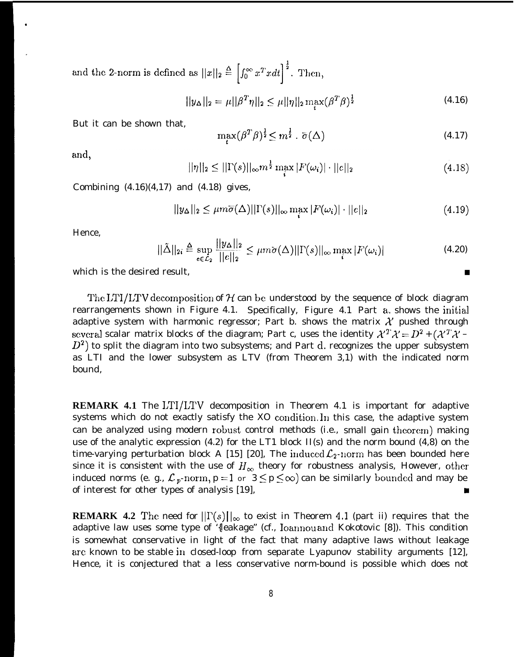and the 2-norm is defined as  $||x||_2 \triangleq \left[\int_0^\infty x^T x dt\right]^{\frac{1}{2}}$ . Then,

$$
||y_{\Delta}||_2 = \mu||\beta^T \eta||_2 \le \mu||\eta||_2 \max_{t} (\beta^T \beta)^{\frac{1}{2}}
$$
\n(4.16)

But it can be shown that,

$$
\max_{t} (\beta^T \beta)^{\frac{1}{2}} \le m^{\frac{1}{2}} \cdot \overline{\sigma}(\Delta) \tag{4.17}
$$

and,

.

$$
||\eta||_2 \le ||\Gamma(s)||_{\infty} m^{\frac{1}{2}} \max_{i} |F(\omega_i)| \cdot ||c||_2 \tag{4.18}
$$

Combining  $(4.16)(4.17)$  and  $(4.18)$  gives,

$$
||y_{\Delta}||_2 \leq \mu m \overline{\sigma}(\Delta) ||\Gamma(s)||_{\infty} \max_{i} |F(\omega_i)| \cdot ||e||_2 \tag{4.19}
$$

Hence,

$$
||\tilde{\Delta}||_{2i} \triangleq \sup_{e \in \mathcal{L}_2} \frac{||y_{\Delta}||_2}{||e||_2} \le \mu m \overline{\sigma}(\Delta) ||\Gamma(s)||_{\infty} \max_{i} |F(\omega_i)| \tag{4.20}
$$

which is the desired result,  $\blacksquare$ 

The LTI/LTV decomposition of  $H$  can be understood by the sequence of block diagram rearrangements shown in Figure 4.1. Specifically, Figure 4.1 Part a, shows the initial adaptive system with harmonic regressor; Part b. shows the matrix  $\mathcal X$  pushed through several scalar matrix blocks of the diagram; Part c, uses the identity  $\mathcal{X}^T \mathcal{X} = D^2 + (\mathcal{X}^T \mathcal{X} - D^2)$  $(D<sup>2</sup>)$  to split the diagram into two subsystems; and Part d. recognizes the upper subsystem as LTI and the lower subsystem as LTV (from Theorem 3,1) with the indicated norm bound,

**REMARK 4.1** The LTI/LTV decomposition in Theorem 4.1 is important for adaptive systems which do not exactly satisfy the XO condition. In this case, the adaptive system can be analyzed using modern robust control methods (i.e., small gain theorem) making use of the analytic expression (4.2) for the LT1 block II(s) and the norm bound (4,8) on the time-varying perturbation block A [15] [20], The induced  $\mathcal{L}_2$ -norm has been bounded here since it is consistent with the use of  $H_{\infty}$  theory for robustness analysis, However, other induced norms (e. g.,  $\mathcal{L}_p$ -norm,  $p = 1$  or  $3 \le p \le \infty$ ) can be similarly bounded and may be of interest for other types of analysis  $[19]$ ,  $\blacksquare$ 

**REMARK 4.2** The need for  $||\Gamma(s)||_{\infty}$  to exist in Theorem 4.1 (part ii) requires that the adaptive law uses some type of '{leakage" (cf., Ioannou and Kokotovic [8]). This condition is somewhat conservative in light of the fact that many adaptive laws without leakage arc known to be stable in closed-loop from separate Lyapunov stability arguments [12], Hence, it is conjectured that a less conservative norm-bound is possible which does not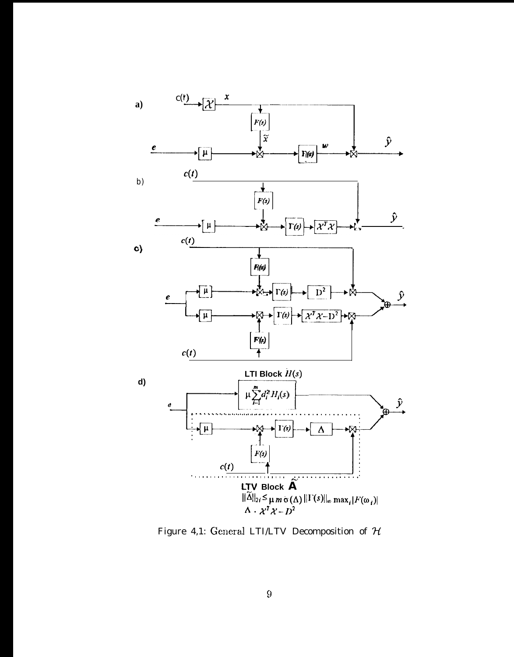

Figure 4,1: General LTI/LTV Decomposition of  $\mathcal H$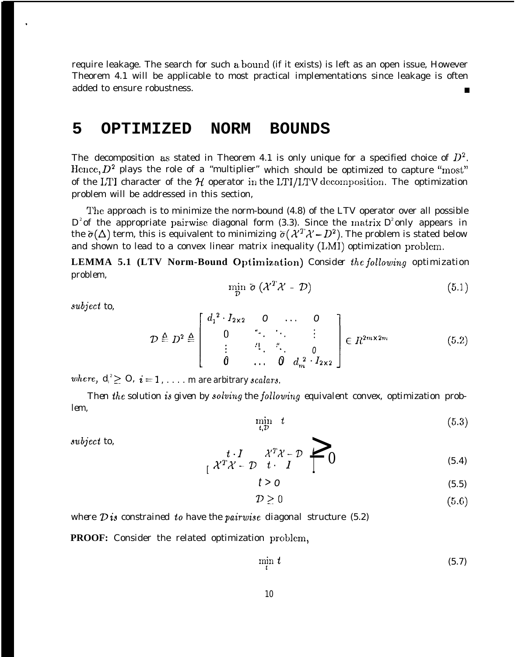require leakage. The search for such a bound (if it exists) is left as an open issue, However Theorem 4.1 will be applicable to most practical implementations since leakage is often added to ensure robustness.

## **5 OPTIMIZED NORM BOUNDS**

The decomposition as stated in Theorem 4.1 is only unique for a specified choice of  $D^2$ . Hence,  $D^2$  plays the role of a "multiplier" which should be optimized to capture "most" of the LTI character of the  $H$  operator in the LTI/LTV decomposition. The optimization problem will be addressed in this section,

The approach is to minimize the norm-bound (4.8) of the LTV operator over all possible  $D^2$  of the appropriate pairwise diagonal form (3.3). Since the matrix  $D^2$  only appears in the  $\bar{\sigma}(\Delta)$  term, this is equivalent to minimizing  $\bar{\sigma}(\lambda^T\lambda - D^2)$ . The problem is stated below and shown to lead to a convex linear matrix inequality (LMI) optimization problem.

**LEMMA 5.1 (LTV Norm-Bound Optimization)** *Consider the jollowing optimization problem,*

$$
\min_{\mathcal{D}} \bar{\sigma} \left( \mathcal{X}^T \mathcal{X} - \mathcal{D} \right) \tag{5.1}
$$

*wbject to,*

.

$$
\mathcal{D} \triangleq D^2 \triangleq \begin{bmatrix} d_1^2 \cdot I_{2 \times 2} & 0 & \dots & 0 \\ 0 & \ddots & \ddots & \vdots \\ \vdots & \ddots & \ddots & 0 \\ 0 & \dots & 0 & d_m^2 \cdot I_{2 \times 2} \end{bmatrix} \in R^{2m \times 2m} \tag{5.2}
$$
\n
$$
= 1 \qquad \text{where arbitrary scalars}
$$

where,  $d_i^2 \geq 0$ ,  $i = 1, \ldots, m$  are arbitrary scalars

Then the solution is given by solving the following equivalent convex, optimization prob*lem,*

$$
\min_{t,\mathcal{D}} t \tag{5.3}
$$

*Jubject to,*

$$
\begin{array}{ccc}\nt \cdot I & \mathcal{X}^T \mathcal{X} - \mathcal{D} & \longrightarrow & 0\\ \n\mathcal{X}^T \mathcal{X} - \mathcal{D} & t \cdot I & \longrightarrow & 0\end{array} \tag{5.4}
$$

$$
t > 0 \tag{5.5}
$$

$$
\mathcal{D} \geq 0 \tag{5.6}
$$

*where D is constrained to have the pairwisc diagonal structure (5.2)*

**PROOF:** Consider the related optimization problem,

$$
\min_{t} t \tag{5.7}
$$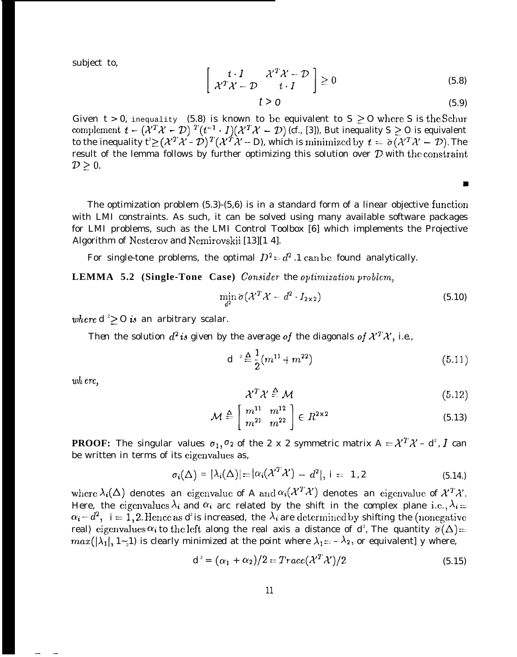subject to,

$$
\begin{bmatrix} t \cdot I & \mathcal{X}^T \mathcal{X} - \mathcal{D} \\ \mathcal{X}^T \mathcal{X} - \mathcal{D} & t \cdot I \end{bmatrix} \ge 0
$$
\n(5.8)

$$
t > 0 \tag{5.9}
$$

Е

Given  $t > 0$ , inequality (5.8) is known to be equivalent to S  $\geq$  O where S is the Schur complement  $t - (\lambda^T \lambda^T - \mathcal{D})^T (t^{-1} \cdot I) (\lambda^T \lambda^T - \mathcal{D})$  (cf., [3]), But inequality S  $\geq 0$  is equivalent to the inequality  $t^2 \geq (\mathcal{X}^T\mathcal{X} - \mathcal{D})^T(\mathcal{X}^T\mathcal{X} - \mathrm{D})$ , which is minimized by  $t = \bar{\sigma}(\mathcal{X}^T\mathcal{X} - \mathcal{D})$ . The result of the lemma follows by further optimizing this solution over  $D$  with the constraint  $D\geq 0$ .

The optimization problem  $(5.3)-(5.6)$  is in a standard form of a linear objective function with LMI constraints. As such, it can be solved using many available software packages for LMI problems, such as the LMI Control Toolbox [6] which implements the Projective Algorithm of Nesterov and Nemirovskii [13][14].

For single-tone problems, the optimal  $D^2 = d^2 \cdot 1$  can be found analytically.

**LEMMA 5.2 (Single-Tone Case)** Consider the optimization problem,

$$
\min_{d^2} \overline{\sigma} \big( \mathcal{X}^T \mathcal{X} - d^2 \cdot I_{2 \times 2} \big) \tag{5.10}
$$

where  $d \geq 0$  is an arbitrary scalar.

*Then the solution*  $d^2$  *is given by the average of the diagonals of*  $\mathcal{X}^T \mathcal{X}$ *, i.e.,* 

$$
d^{-2} \stackrel{\Delta}{=} \frac{1}{2}(m^{11} + m^{22})
$$
\n(5.11)

wh ere,

— .

$$
\mathcal{X}^T \mathcal{X} \triangleq \mathcal{M} \tag{5.12}
$$

$$
\mathcal{M} \triangleq \left[ \begin{array}{cc} m^{11} & m^{12} \\ m^{21} & m^{22} \end{array} \right] \in R^{2 \times 2} \tag{5.13}
$$

**PROOF:** The singular values  $\sigma_1, \sigma_2$  of the 2 x 2 symmetric matrix A  $= \mathcal{X}^T \mathcal{X} - d^2$ , I can be written in terms of its eigenvalues as,

$$
\sigma_i(\Delta) = |\lambda_i(\Delta)| = |\alpha_i(\mathcal{X}^T \mathcal{X}) - d^2|, i = 1, 2
$$
\n(5.14.)

where  $\lambda_i(\Delta)$  denotes an eigenvalue of A and  $\alpha_i(\mathcal{X}^T\mathcal{X})$  denotes an eigenvalue of  $\mathcal{X}^T\mathcal{X}$ . Here, the cigenvalues  $\lambda_i$  and  $\alpha_i$  arc related by the shift in the complex plane i.e.,  $\lambda_i$ .  $\alpha_i - d^2$ ,  $i = 1, 2$ . Hence as *d is* increased, the  $\lambda_i$  are determined by shifting the (nonegative real) cigenvalues  $\alpha_i$  to the left along the real axis a distance of  $d^e$ , The quantity  $\overline{\sigma}(\Delta)$  =  $max(|\lambda_1|, 1_{\leq 1})$  is clearly minimized at the point where  $\lambda_1 = -\lambda_2$ , or equivalent] y where,

$$
d^{2} = (\alpha_{1} + \alpha_{2})/2 = Trace(\mathcal{X}^{T}\mathcal{X})/2
$$
\n(5.15)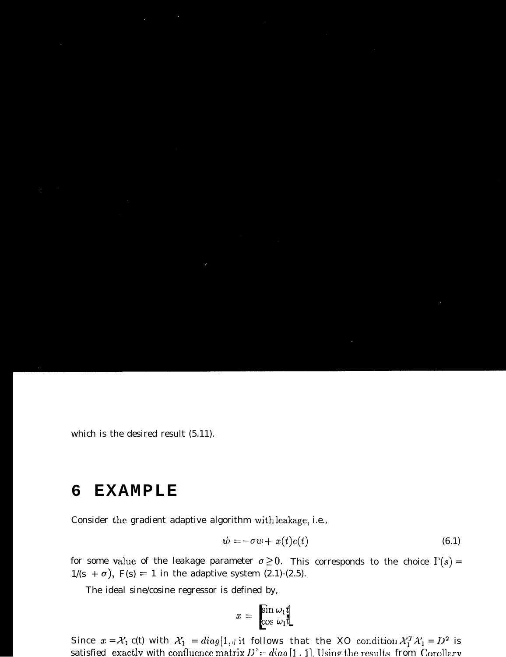which is the desired result (5.11).

### **EXAMPLE** 6

Consider the gradient adaptive algorithm with leakage, i.e.,

$$
\dot{w} = -\sigma w + x(t)e(t) \tag{6.1}
$$

for some value of the leakage parameter  $\sigma \ge 0$ . This corresponds to the choice  $\Gamma(s)$  =  $1/(s + \sigma)$ , F(s) = 1 in the adaptive system (2.1)-(2.5).

The ideal sine/cosine regressor is defined by,

$$
x = \frac{\sin \omega_1 t}{\cos \omega_1 t}
$$

Since  $x = \mathcal{X}_1$   $c(t)$  with  $\mathcal{X}_1 = diag[1, y]$  it follows that the XO condition  $\mathcal{X}_1^T \mathcal{X}_1 = D^2$  is satisfied exactly with confluence matrix  $D^2 = diag[1, 1]$ . Using the results from Corollary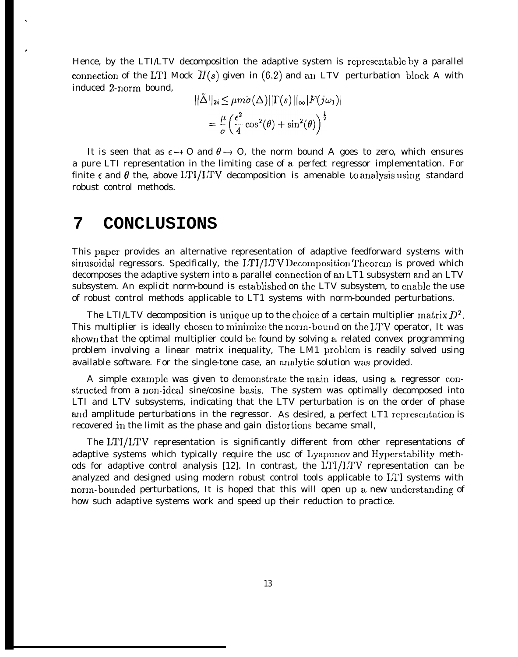Hence, by the LTI/LTV decomposition the adaptive system is representable by a parallel connection of the LTI Mock  $\overline{H}(s)$  given in (6.2) and an LTV perturbation block A with induced 2-riorm bound,

$$
\|\tilde{\Delta}\|_{2i} \le \mu m \tilde{\sigma}(\Delta) ||\Gamma(s)||_{\infty} |F(j\omega_1)|
$$
  
= 
$$
\frac{\mu}{\sigma} \left(\frac{\epsilon^2}{4} \cos^2(\theta) + \sin^2(\theta)\right)^{\frac{1}{2}}
$$

It is seen that as  $\epsilon \rightarrow 0$  and  $\theta \rightarrow 0$ , the norm bound A goes to zero, which ensures a pure LTI representation in the limiting case of a. perfect regressor implementation. For finite  $\epsilon$  and  $\theta$  the, above LTI/LTV decomposition is amenable to analysis using standard robust control methods.

# **7 CONCLUSIONS**

.

#

This paper provides an alternative representation of adaptive feedforward systems with sinusoidal regressors. Specifically, the LTI/LTV Decomposition Theorem is proved which decomposes the adaptive system into a parallel connection of an LT1 subsystem and an LTV subsystem. An explicit norm-bound is established on the LTV subsystem, to enable the use of robust control methods applicable to LT1 systems with norm-bounded perturbations.

The LTI/LTV decomposition is unique up to the choice of a certain multiplier matrix  $D^2$ . This multiplier is ideally chosen to minimize the norm-bound on the LTV operator, It was shown that the optimal multiplier could be found by solving a related convex programming problem involving a linear matrix inequality, The LM1 problem is readily solved using available software. For the single-tone case, an analytic solution was provided.

A simple example was given to demonstrate the main ideas, using a regressor constructed from a non-ideal sine/cosine basis. The system was optimally decomposed into LTI and LTV subsystems, indicating that the LTV perturbation is on the order of phase and amplitude perturbations in the regressor. As desired, a perfect LT1 representation is recovered in the limit as the phase and gain distortions became small,

The LT1/LTV representation is significantly different from other representations of adaptive systems which typically require the usc of Lyapuncw and Hyperstability methods for adaptive control analysis [12]. In contrast, the LTI/LTV representation can be analyzed and designed using modern robust control tools applicable to L'T1 systems with norm-bounded perturbations, It is hoped that this will open up a new understanding of how such adaptive systems work and speed up their reduction to practice.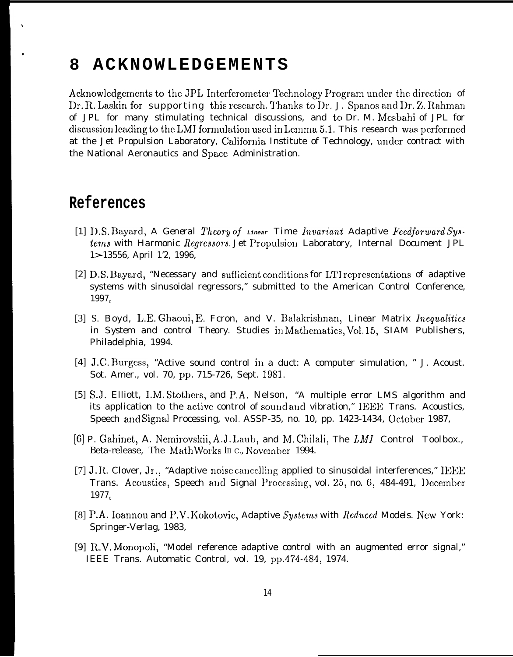### **ACKNOWLEDGEMENTS** 8

Acknowledgements to the JPL Interferometer Technology Program under the direction of Dr. R. Laskin for supporting this research. Thanks to Dr. J. Spanos and Dr. Z. Rahman of JPL for many stimulating technical discussions, and to Dr. M. Mesbahi of JPL for discussion leading to the LMI formulation used in Lemma 5.1. This research was performed at the Jet Propulsion Laboratory, California Institute of Technology, under contract with the National Aeronautics and Space Administration.

# References

- [1] D.S. Bayard, A General Theory of Linear Time Invariant Adaptive Feedforward Systems with Harmonic Regressors. Jet Propulsion Laboratory, Internal Document JPL 1>-13556, April 1'2, 1996,
- [2] D.S. Bayard, "Necessary and sufficient conditions for LTI representations of adaptive systems with sinusoidal regressors," submitted to the American Control Conference,  $1997<sub>o</sub>$
- [3] S. Boyd, L.E. Ghaoui, E. Feron, and V. Balakrishnan, Linear Matrix Inequalities in System and control Theory. Studies in Mathematics, Vol.15, SIAM Publishers, Philadelphia, 1994.
- [4] J.C. Burgess, "Active sound control in a duct: A computer simulation, " J. Acoust. Sot. Amer., vol. 70, pp. 715-726, Sept. 1981.
- [5] S.J. Elliott, I.M. Stothers, and P.A. Nelson, "A multiple error LMS algorithm and its application to the active control of sound and vibration," IEEE Trans. Acoustics, Speech and Signal Processing, vol. ASSP-35, no. 10, pp. 1423-1434, October 1987,
- [6] P. Gahinet, A. Nemirovskii, A.J. Laub, and M. Chilali, The LMI Control Toolbox., Beta-release, The MathWorks III C., November 1994.
- [7] J.R. Clover, Jr., "Adaptive noise cancelling applied to sinusoidal interferences," IEEE Trans. Acoustics, Speech and Signal Processing, vol. 25, no. 6, 484-491, December 1977
- [8] P.A. Ioannou and P.V. Kokotovic, Adaptive Systems with Reduced Models. New York: Springer-Verlag, 1983,
- [9] R.V. Monopoli, "Model reference adaptive control with an augmented error signal," IEEE Trans. Automatic Control, vol. 19, pp.474-484, 1974.